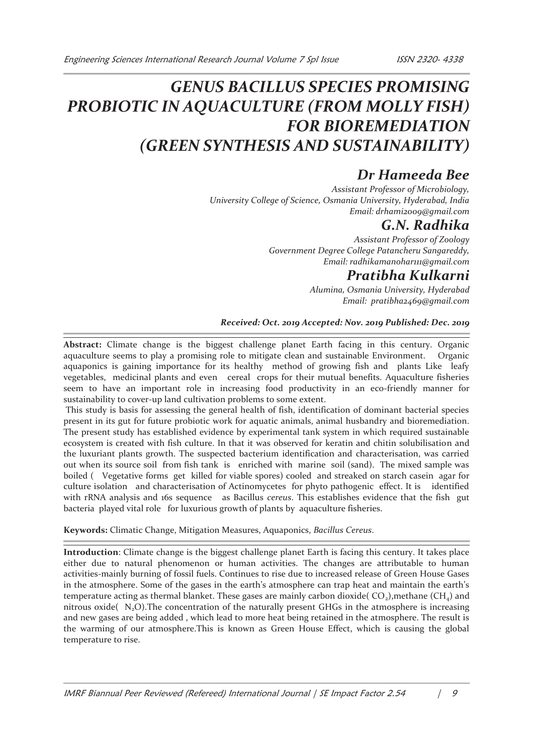# *GENUS BACILLUS SPECIES PROMISING PROBIOTIC IN AQUACULTURE (FROM MOLLY FISH) FOR BIOREMEDIATION (GREEN SYNTHESIS AND SUSTAINABILITY)*

## *Dr Hameeda Bee*

*Assistant Professor of Microbiology, University College of Science, Osmania University, Hyderabad, India Email: drhami2009@gmail.com* 

### *G.N. Radhika*

*Assistant Professor of Zoology Government Degree College Patancheru Sangareddy, Email: radhikamanohar111@gmail.com* 

### *Pratibha Kulkarni*

*Alumina, Osmania University, Hyderabad Email: pratibha2469@gmail.com* 

#### *Received: Oct. 2019 Accepted: Nov. 2019 Published: Dec. 2019*

**Abstract:** Climate change is the biggest challenge planet Earth facing in this century. Organic aquaculture seems to play a promising role to mitigate clean and sustainable Environment. Organic aquaponics is gaining importance for its healthy method of growing fish and plants Like leafy vegetables, medicinal plants and even cereal crops for their mutual benefits. Aquaculture fisheries seem to have an important role in increasing food productivity in an eco-friendly manner for sustainability to cover-up land cultivation problems to some extent.

 This study is basis for assessing the general health of fish, identification of dominant bacterial species present in its gut for future probiotic work for aquatic animals, animal husbandry and bioremediation. The present study has established evidence by experimental tank system in which required sustainable ecosystem is created with fish culture. In that it was observed for keratin and chitin solubilisation and the luxuriant plants growth. The suspected bacterium identification and characterisation, was carried out when its source soil from fish tank is enriched with marine soil (sand). The mixed sample was boiled ( Vegetative forms get killed for viable spores) cooled and streaked on starch casein agar for culture isolation and characterisation of Actinomycetes for phyto pathogenic effect. It is identified with rRNA analysis and 16s sequence as Bacillus *cereus*. This establishes evidence that the fish gut bacteria played vital role for luxurious growth of plants by aquaculture fisheries.

#### **Keywords:** Climatic Change, Mitigation Measures, Aquaponics, *Bacillus Cereus*.

**Introduction**: Climate change is the biggest challenge planet Earth is facing this century. It takes place either due to natural phenomenon or human activities. The changes are attributable to human activities-mainly burning of fossil fuels. Continues to rise due to increased release of Green House Gases in the atmosphere. Some of the gases in the earth's atmosphere can trap heat and maintain the earth's temperature acting as thermal blanket. These gases are mainly carbon dioxide(  $CO<sub>2</sub>$ ), methane (CH<sub>4</sub>) and nitrous oxide( $N_2O$ ). The concentration of the naturally present GHGs in the atmosphere is increasing and new gases are being added , which lead to more heat being retained in the atmosphere. The result is the warming of our atmosphere.This is known as Green House Effect, which is causing the global temperature to rise.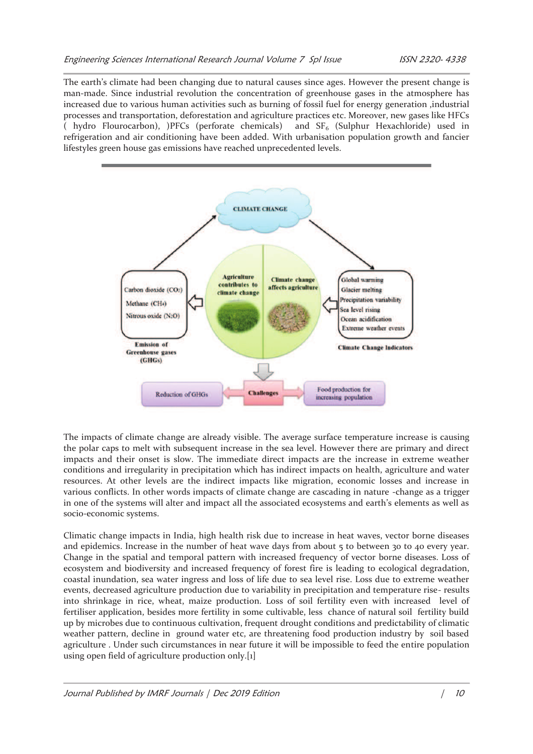The earth's climate had been changing due to natural causes since ages. However the present change is man-made. Since industrial revolution the concentration of greenhouse gases in the atmosphere has increased due to various human activities such as burning of fossil fuel for energy generation ,industrial processes and transportation, deforestation and agriculture practices etc. Moreover, new gases like HFCs ( hydro Flourocarbon), )PFCs (perforate chemicals) and  $SF<sub>6</sub>$  (Sulphur Hexachloride) used in refrigeration and air conditioning have been added. With urbanisation population growth and fancier lifestyles green house gas emissions have reached unprecedented levels.



The impacts of climate change are already visible. The average surface temperature increase is causing the polar caps to melt with subsequent increase in the sea level. However there are primary and direct impacts and their onset is slow. The immediate direct impacts are the increase in extreme weather conditions and irregularity in precipitation which has indirect impacts on health, agriculture and water resources. At other levels are the indirect impacts like migration, economic losses and increase in various conflicts. In other words impacts of climate change are cascading in nature -change as a trigger in one of the systems will alter and impact all the associated ecosystems and earth's elements as well as socio-economic systems.

Climatic change impacts in India, high health risk due to increase in heat waves, vector borne diseases and epidemics. Increase in the number of heat wave days from about 5 to between 30 to 40 every year. Change in the spatial and temporal pattern with increased frequency of vector borne diseases. Loss of ecosystem and biodiversity and increased frequency of forest fire is leading to ecological degradation, coastal inundation, sea water ingress and loss of life due to sea level rise. Loss due to extreme weather events, decreased agriculture production due to variability in precipitation and temperature rise- results into shrinkage in rice, wheat, maize production. Loss of soil fertility even with increased level of fertiliser application, besides more fertility in some cultivable, less chance of natural soil fertility build up by microbes due to continuous cultivation, frequent drought conditions and predictability of climatic weather pattern, decline in ground water etc, are threatening food production industry by soil based agriculture . Under such circumstances in near future it will be impossible to feed the entire population using open field of agriculture production only.[1]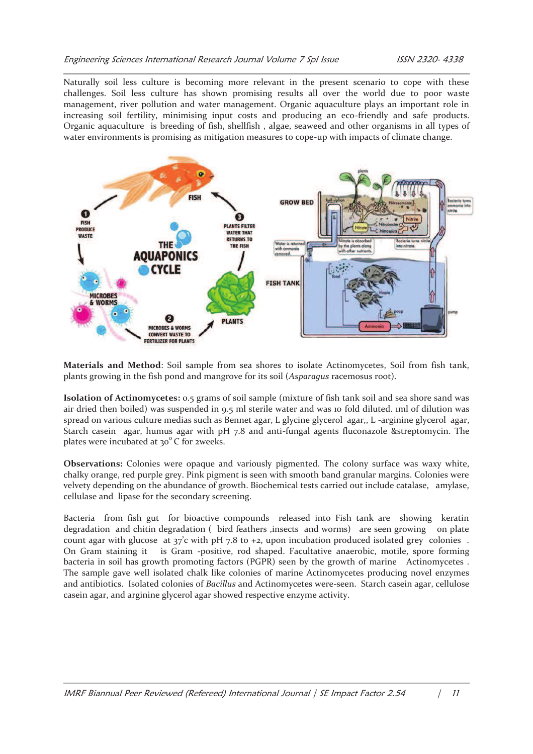Naturally soil less culture is becoming more relevant in the present scenario to cope with these challenges. Soil less culture has shown promising results all over the world due to poor waste management, river pollution and water management. Organic aquaculture plays an important role in increasing soil fertility, minimising input costs and producing an eco-friendly and safe products. Organic aquaculture is breeding of fish, shellfish , algae, seaweed and other organisms in all types of water environments is promising as mitigation measures to cope-up with impacts of climate change.



**Materials and Method**: Soil sample from sea shores to isolate Actinomycetes, Soil from fish tank, plants growing in the fish pond and mangrove for its soil (*Asparagus* racemosus root).

**Isolation of Actinomycetes:** 0.5 grams of soil sample (mixture of fish tank soil and sea shore sand was air dried then boiled) was suspended in 9.5 ml sterile water and was 10 fold diluted. 1ml of dilution was spread on various culture medias such as Bennet agar, L glycine glycerol agar,, L -arginine glycerol agar, Starch casein agar, humus agar with pH 7.8 and anti-fungal agents fluconazole &streptomycin. The plates were incubated at  $30^{\circ}$  C for 2weeks.

**Observations:** Colonies were opaque and variously pigmented. The colony surface was waxy white, chalky orange, red purple grey. Pink pigment is seen with smooth band granular margins. Colonies were velvety depending on the abundance of growth. Biochemical tests carried out include catalase, amylase, cellulase and lipase for the secondary screening.

Bacteria from fish gut for bioactive compounds released into Fish tank are showing keratin degradation and chitin degradation ( bird feathers ,insects and worms) are seen growing on plate count agar with glucose at  $37'c$  with pH 7.8 to  $+2$ , upon incubation produced isolated grey colonies. On Gram staining it is Gram -positive, rod shaped. Facultative anaerobic, motile, spore forming bacteria in soil has growth promoting factors (PGPR) seen by the growth of marine Actinomycetes . The sample gave well isolated chalk like colonies of marine Actinomycetes producing novel enzymes and antibiotics. Isolated colonies of *Bacillus* and Actinomycetes were-seen. Starch casein agar, cellulose casein agar, and arginine glycerol agar showed respective enzyme activity.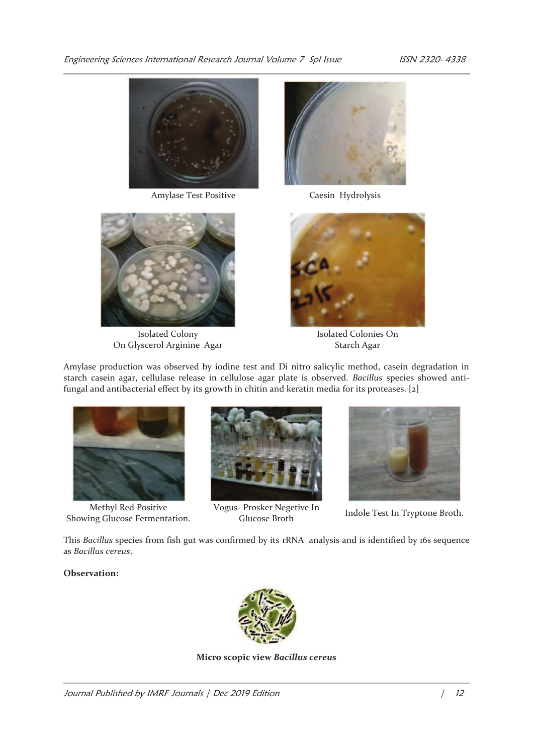Engineering Sciences International Research Journal Volume 7 Spl Issue 155N 2320-4338





Isolated Colony On Glyscerol Arginine Agar





Isolated Colonies On Starch Agar

Amylase production was observed by iodine test and Di nitro salicylic method, casein degradation in starch casein agar, cellulase release in cellulose agar plate is observed. *Bacillus* species showed antifungal and antibacterial effect by its growth in chitin and keratin media for its proteases. [2]



Methyl Red Positive Showing Glucose Fermentation.



Vogus- Prosker Negetive In



Frosker Negeuve III Indole Test In Tryptone Broth.<br>Glucose Broth

This *Bacillus* species from fish gut was confirmed by its rRNA analysis and is identified by 16s sequence as *Bacillus cereus*.

**Observation:**



**Micro scopic view** *Bacillus cereus*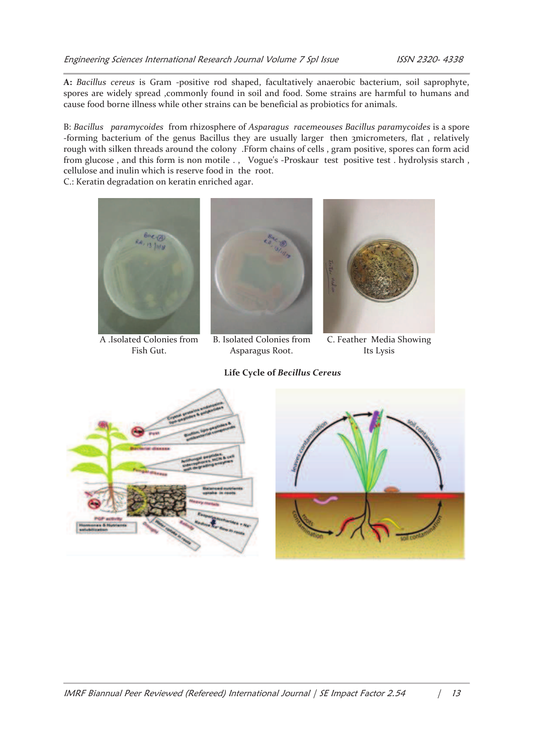**A:** *Bacillus cereus* is Gram -positive rod shaped, facultatively anaerobic bacterium, soil saprophyte, spores are widely spread ,commonly found in soil and food. Some strains are harmful to humans and cause food borne illness while other strains can be beneficial as probiotics for animals.

B: *Bacillus paramycoides* from rhizosphere of *Asparagus racemeouses Bacillus paramycoides* is a spore -forming bacterium of the genus Bacillus they are usually larger then 3micrometers, flat , relatively rough with silken threads around the colony .Fform chains of cells , gram positive, spores can form acid from glucose, and this form is non motile ., Vogue's -Proskaur test positive test. hydrolysis starch, cellulose and inulin which is reserve food in the root.

C.: Keratin degradation on keratin enriched agar.



A .Isolated Colonies from Fish Gut.



B. Isolated Colonies from Asparagus Root.

**Life Cycle of** *Becillus Cereus* 



C. Feather Media Showing Its Lysis



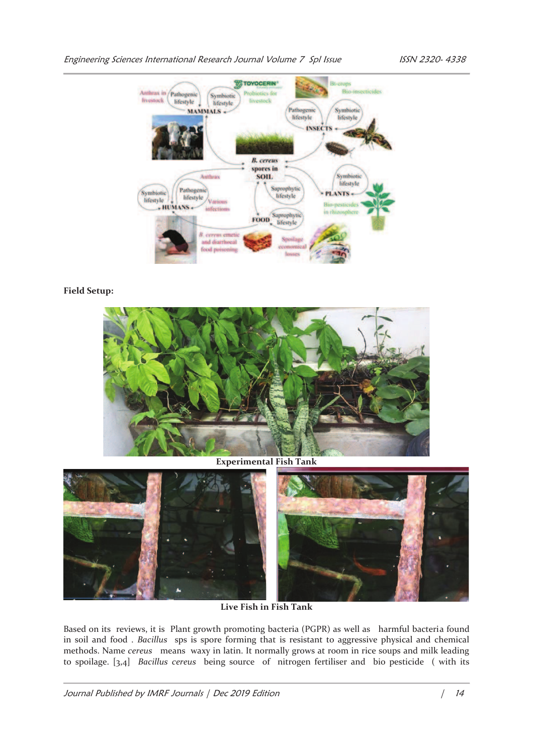

#### **Field Setup:**



**Experimental Fish Tank**



**Live Fish in Fish Tank**

Based on its reviews, it is Plant growth promoting bacteria (PGPR) as well as harmful bacteria found in soil and food . *Bacillus* sps is spore forming that is resistant to aggressive physical and chemical methods. Name *cereus* means waxy in latin. It normally grows at room in rice soups and milk leading to spoilage. [3,4] *Bacillus cereus* being source of nitrogen fertiliser and bio pesticide ( with its